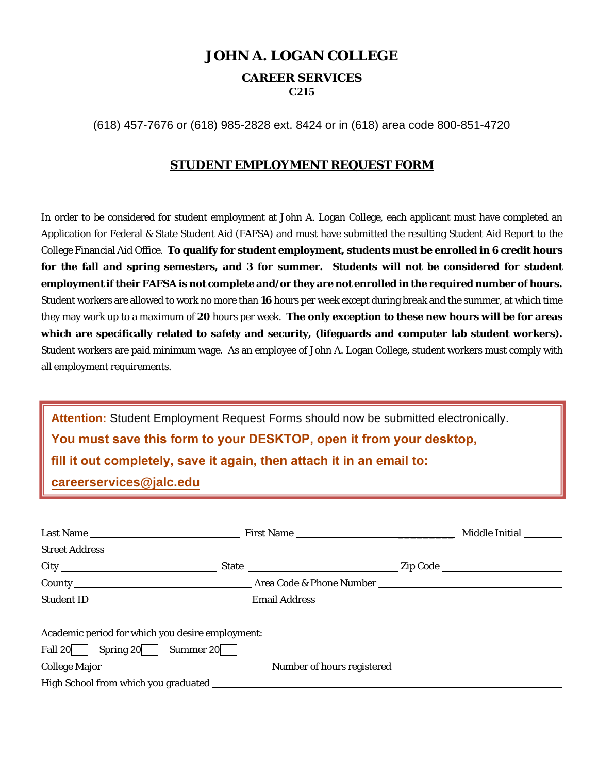# **JOHN A. LOGAN COLLEGE**

# **CAREER SERVICES**

**C215**

(618) 457-7676 or (618) 985-2828 ext. 8424 or in (618) area code 800-851-4720

### **STUDENT EMPLOYMENT REQUEST FORM**

In order to be considered for student employment at John A. Logan College, each applicant must have completed an Application for Federal & State Student Aid (FAFSA) and must have submitted the resulting Student Aid Report to the College Financial Aid Office. **To qualify for student employment, students must be enrolled in 6 credit hours for the fall and spring semesters, and 3 for summer. Students will not be considered for student employment if their FAFSA is not complete and/or they are not enrolled in the required number of hours.** Student workers are allowed to work no more than **16** hours per week except during break and the summer, at which time they may work up to a maximum of **20** hours per week. **The only exception to these new hours will be for areas which are specifically related to safety and security, (lifeguards and computer lab student workers).**  Student workers are paid minimum wage. As an employee of John A. Logan College, student workers must comply with all employment requirements.

**Attention:** Student Employment Request Forms should now be submitted electronically. **You must save this form to your DESKTOP, open it from your desktop, fill it out completely, save it again, then attach it in an email to: careerservices@jalc.edu**

| Academic period for which you desire employment: |  |
|--------------------------------------------------|--|
| Fall $20$ Spring $20$ Summer $20$                |  |
|                                                  |  |
|                                                  |  |
|                                                  |  |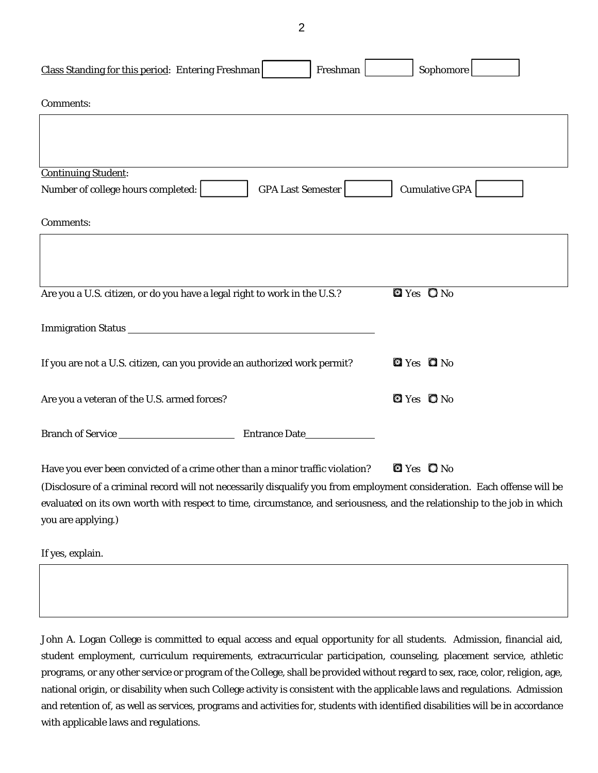2

| Class Standing for this period: Entering Freshman<br>Freshman                                                            | Sophomore             |
|--------------------------------------------------------------------------------------------------------------------------|-----------------------|
| Comments:                                                                                                                |                       |
|                                                                                                                          |                       |
|                                                                                                                          |                       |
| <b>Continuing Student:</b>                                                                                               |                       |
| Number of college hours completed:<br><b>GPA Last Semester</b>                                                           | <b>Cumulative GPA</b> |
| Comments:                                                                                                                |                       |
|                                                                                                                          |                       |
|                                                                                                                          |                       |
| Are you a U.S. citizen, or do you have a legal right to work in the U.S.?                                                | $QYes$ $QNo$          |
| Immigration Status                                                                                                       |                       |
| If you are not a U.S. citizen, can you provide an authorized work permit?                                                | $Q$ Yes $Q$ No        |
| Are you a veteran of the U.S. armed forces?                                                                              | $Q$ Yes $Q$ No        |
| Branch of Service                                                                                                        |                       |
| Have you ever been convicted of a crime other than a minor traffic violation?                                            | $QYes$ $QNo$          |
| (Disclosure of a criminal record will not necessarily disqualify you from employment consideration. Each offense will be |                       |
| evaluated on its own worth with respect to time, circumstance, and seriousness, and the relationship to the job in which |                       |
| you are applying.)                                                                                                       |                       |
| If yes, explain.                                                                                                         |                       |

John A. Logan College is committed to equal access and equal opportunity for all students. Admission, financial aid, student employment, curriculum requirements, extracurricular participation, counseling, placement service, athletic programs, or any other service or program of the College, shall be provided without regard to sex, race, color, religion, age, national origin, or disability when such College activity is consistent with the applicable laws and regulations. Admission and retention of, as well as services, programs and activities for, students with identified disabilities will be in accordance with applicable laws and regulations.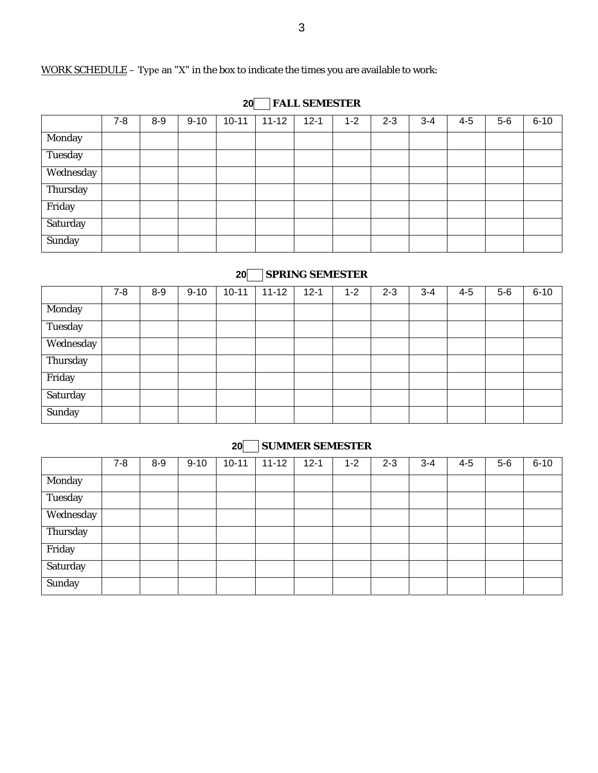### WORK SCHEDULE - Type an "X" in the box to indicate the times you are available to work:

## **20 FALL SEMESTER**

|                | $7 - 8$ | $8 - 9$ | $9 - 10$ | $10 - 11$ | $11 - 12$ | $12 - 1$ | $1 - 2$ | $2 - 3$ | $3 - 4$ | $4 - 5$ | $5-6$ | $6 - 10$ |
|----------------|---------|---------|----------|-----------|-----------|----------|---------|---------|---------|---------|-------|----------|
| Monday         |         |         |          |           |           |          |         |         |         |         |       |          |
| <b>Tuesday</b> |         |         |          |           |           |          |         |         |         |         |       |          |
| Wednesday      |         |         |          |           |           |          |         |         |         |         |       |          |
| Thursday       |         |         |          |           |           |          |         |         |         |         |       |          |
| Friday         |         |         |          |           |           |          |         |         |         |         |       |          |
| Saturday       |         |         |          |           |           |          |         |         |         |         |       |          |
| Sunday         |         |         |          |           |           |          |         |         |         |         |       |          |

### **20 SPRING SEMESTER**

|           | $7 - 8$ | $8 - 9$ | $9 - 10$ | $10 - 11$ | $11 - 12$ | $12 - 1$ | $1 - 2$ | $2 - 3$ | $3 - 4$ | $4 - 5$ | $5-6$ | $6 - 10$ |
|-----------|---------|---------|----------|-----------|-----------|----------|---------|---------|---------|---------|-------|----------|
| Monday    |         |         |          |           |           |          |         |         |         |         |       |          |
| Tuesday   |         |         |          |           |           |          |         |         |         |         |       |          |
| Wednesday |         |         |          |           |           |          |         |         |         |         |       |          |
| Thursday  |         |         |          |           |           |          |         |         |         |         |       |          |
| Friday    |         |         |          |           |           |          |         |         |         |         |       |          |
| Saturday  |         |         |          |           |           |          |         |         |         |         |       |          |
| Sunday    |         |         |          |           |           |          |         |         |         |         |       |          |

### **20 SUMMER SEMESTER**

|           | $7 - 8$ | $8-9$ | $9 - 10$ | $10 - 11$ | $11 - 12$ | $12 - 1$ | $1 - 2$ | $2 - 3$ | $3 - 4$ | $4 - 5$ | $5-6$ | $6 - 10$ |
|-----------|---------|-------|----------|-----------|-----------|----------|---------|---------|---------|---------|-------|----------|
| Monday    |         |       |          |           |           |          |         |         |         |         |       |          |
| Tuesday   |         |       |          |           |           |          |         |         |         |         |       |          |
| Wednesday |         |       |          |           |           |          |         |         |         |         |       |          |
| Thursday  |         |       |          |           |           |          |         |         |         |         |       |          |
| Friday    |         |       |          |           |           |          |         |         |         |         |       |          |
| Saturday  |         |       |          |           |           |          |         |         |         |         |       |          |
| Sunday    |         |       |          |           |           |          |         |         |         |         |       |          |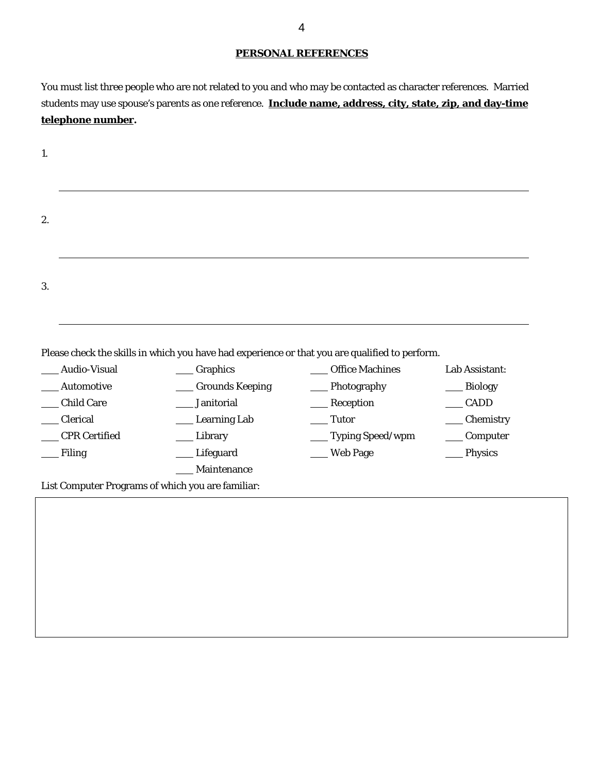#### **PERSONAL REFERENCES**

You must list three people who are not related to you and who may be contacted as character references. Married students may use spouse's parents as one reference. **Include name, address, city, state, zip, and day-time telephone number.**

|                               | Please check the skills in which you have had experience or that you are qualified to perform. |                        |                |
|-------------------------------|------------------------------------------------------------------------------------------------|------------------------|----------------|
| Audio-Visual                  | Graphics                                                                                       | <b>Office Machines</b> | Lab Assistant: |
| Automotive                    | <b>Grounds Keeping</b>                                                                         | Photography            | <b>Biology</b> |
|                               | Janitorial                                                                                     | Reception              | <b>CADD</b>    |
| <b>Child Care</b><br>Clerical | <b>Learning Lab</b>                                                                            | Tutor                  | Chemistry      |
| <b>CPR</b> Certified          | Library                                                                                        | __ Typing Speed/wpm    | Computer       |
| Filing                        | Lifeguard                                                                                      | <b>Web Page</b>        | Physics        |
|                               | Maintenance<br>List Computer Programs of which you are familiar:                               |                        |                |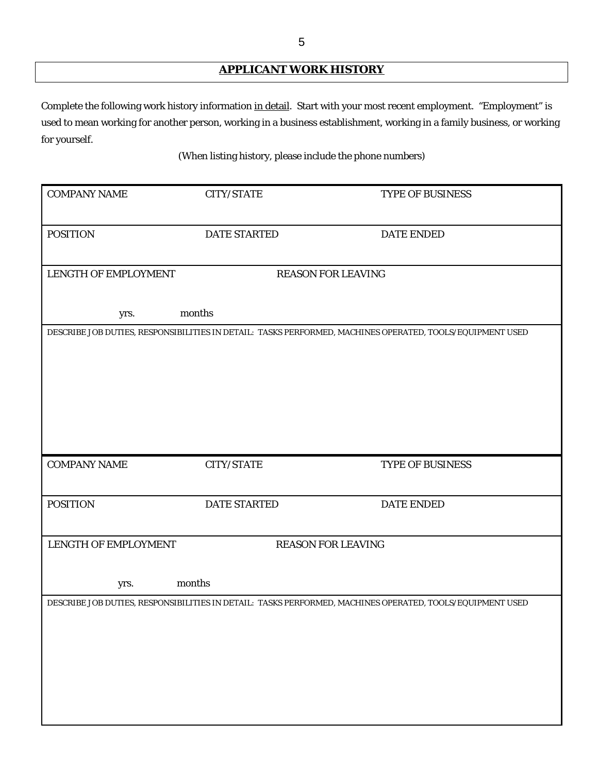# **APPLICANT WORK HISTORY**

Complete the following work history information in detail. Start with your most recent employment. "Employment" is used to mean working for another person, working in a business establishment, working in a family business, or working for yourself.

(When listing history, please include the phone numbers)

| <b>COMPANY NAME</b>         | <b>CITY/STATE</b>   | TYPE OF BUSINESS                                                                                          |
|-----------------------------|---------------------|-----------------------------------------------------------------------------------------------------------|
|                             |                     |                                                                                                           |
|                             |                     |                                                                                                           |
| <b>POSITION</b>             | <b>DATE STARTED</b> | <b>DATE ENDED</b>                                                                                         |
|                             |                     |                                                                                                           |
|                             |                     |                                                                                                           |
| <b>LENGTH OF EMPLOYMENT</b> |                     | <b>REASON FOR LEAVING</b>                                                                                 |
|                             |                     |                                                                                                           |
|                             |                     |                                                                                                           |
| yrs.                        | months              |                                                                                                           |
|                             |                     |                                                                                                           |
|                             |                     | DESCRIBE JOB DUTIES, RESPONSIBILITIES IN DETAIL: TASKS PERFORMED, MACHINES OPERATED, TOOLS/EQUIPMENT USED |
|                             |                     |                                                                                                           |
|                             |                     |                                                                                                           |
|                             |                     |                                                                                                           |
|                             |                     |                                                                                                           |
|                             |                     |                                                                                                           |
|                             |                     |                                                                                                           |
|                             |                     |                                                                                                           |
|                             |                     |                                                                                                           |
|                             |                     |                                                                                                           |
| <b>COMPANY NAME</b>         | CITY/STATE          | TYPE OF BUSINESS                                                                                          |
|                             |                     |                                                                                                           |
|                             |                     |                                                                                                           |
| <b>POSITION</b>             | <b>DATE STARTED</b> | <b>DATE ENDED</b>                                                                                         |
|                             |                     |                                                                                                           |
|                             |                     |                                                                                                           |
| LENGTH OF EMPLOYMENT        |                     | <b>REASON FOR LEAVING</b>                                                                                 |
|                             |                     |                                                                                                           |
|                             |                     |                                                                                                           |
|                             | months              |                                                                                                           |
| yrs.                        |                     |                                                                                                           |
|                             |                     | DESCRIBE JOB DUTIES, RESPONSIBILITIES IN DETAIL: TASKS PERFORMED, MACHINES OPERATED, TOOLS/EQUIPMENT USED |
|                             |                     |                                                                                                           |
|                             |                     |                                                                                                           |
|                             |                     |                                                                                                           |
|                             |                     |                                                                                                           |
|                             |                     |                                                                                                           |
|                             |                     |                                                                                                           |
|                             |                     |                                                                                                           |
|                             |                     |                                                                                                           |
|                             |                     |                                                                                                           |
|                             |                     |                                                                                                           |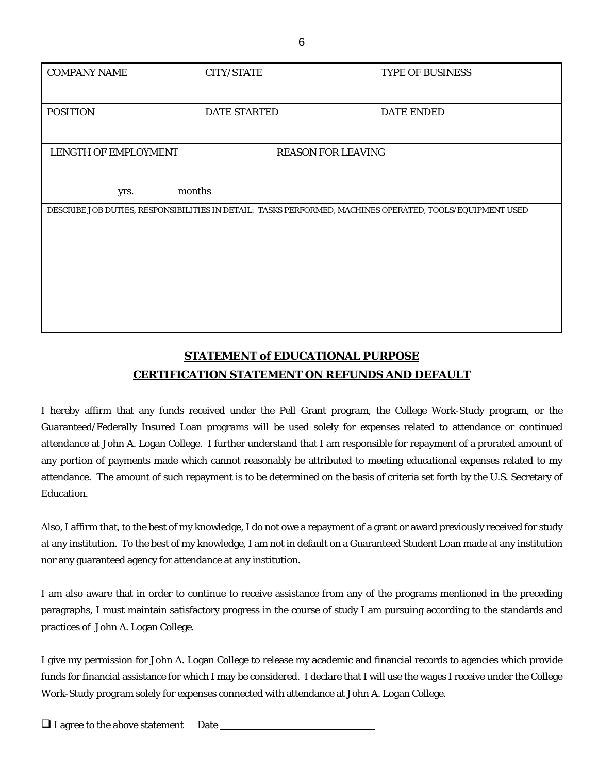| <b>COMPANY NAME</b>  | <b>CITY/STATE</b>                                                                                         | TYPE OF BUSINESS  |
|----------------------|-----------------------------------------------------------------------------------------------------------|-------------------|
|                      |                                                                                                           |                   |
|                      |                                                                                                           |                   |
| <b>POSITION</b>      | <b>DATE STARTED</b>                                                                                       | <b>DATE ENDED</b> |
|                      |                                                                                                           |                   |
|                      |                                                                                                           |                   |
| LENGTH OF EMPLOYMENT | <b>REASON FOR LEAVING</b>                                                                                 |                   |
|                      |                                                                                                           |                   |
|                      |                                                                                                           |                   |
| months<br>yrs.       |                                                                                                           |                   |
|                      |                                                                                                           |                   |
|                      | DESCRIBE JOB DUTIES, RESPONSIBILITIES IN DETAIL: TASKS PERFORMED, MACHINES OPERATED, TOOLS/EQUIPMENT USED |                   |
|                      |                                                                                                           |                   |
|                      |                                                                                                           |                   |
|                      |                                                                                                           |                   |
|                      |                                                                                                           |                   |
|                      |                                                                                                           |                   |
|                      |                                                                                                           |                   |
|                      |                                                                                                           |                   |
|                      |                                                                                                           |                   |
|                      |                                                                                                           |                   |
|                      |                                                                                                           |                   |

# **STATEMENT of EDUCATIONAL PURPOSE CERTIFICATION STATEMENT ON REFUNDS AND DEFAULT**

I hereby affirm that any funds received under the Pell Grant program, the College Work-Study program, or the Guaranteed/Federally Insured Loan programs will be used solely for expenses related to attendance or continued attendance at John A. Logan College. I further understand that I am responsible for repayment of a prorated amount of any portion of payments made which cannot reasonably be attributed to meeting educational expenses related to my attendance. The amount of such repayment is to be determined on the basis of criteria set forth by the U.S. Secretary of Education.

Also, I affirm that, to the best of my knowledge, I do not owe a repayment of a grant or award previously received for study at any institution. To the best of my knowledge, I am not in default on a Guaranteed Student Loan made at any institution nor any guaranteed agency for attendance at any institution.

I am also aware that in order to continue to receive assistance from any of the programs mentioned in the preceding paragraphs, I must maintain satisfactory progress in the course of study I am pursuing according to the standards and practices of John A. Logan College.

I give my permission for John A. Logan College to release my academic and financial records to agencies which provide funds for financial assistance for which I may be considered. I declare that I will use the wages I receive under the College Work-Study program solely for expenses connected with attendance at John A. Logan College.

 $\Box$  I agree to the above statement Date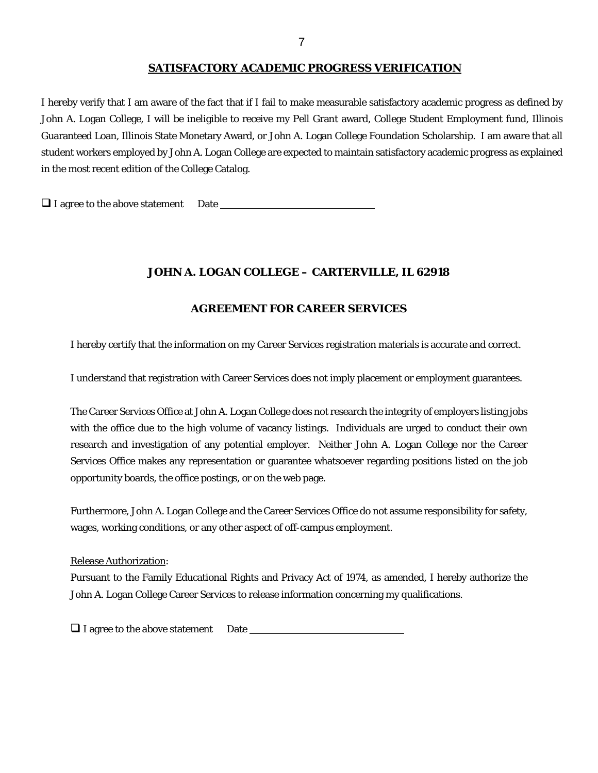#### **SATISFACTORY ACADEMIC PROGRESS VERIFICATION**

I hereby verify that I am aware of the fact that if I fail to make measurable satisfactory academic progress as defined by John A. Logan College, I will be ineligible to receive my Pell Grant award, College Student Employment fund, Illinois Guaranteed Loan, Illinois State Monetary Award, or John A. Logan College Foundation Scholarship. I am aware that all student workers employed by John A. Logan College are expected to maintain satisfactory academic progress as explained in the most recent edition of the College Catalog.

 $\Box$  I agree to the above statement Date

#### **JOHN A. LOGAN COLLEGE – CARTERVILLE, IL 62918**

#### **AGREEMENT FOR CAREER SERVICES**

I hereby certify that the information on my Career Services registration materials is accurate and correct.

I understand that registration with Career Services does not imply placement or employment guarantees.

The Career Services Office at John A. Logan College does not research the integrity of employers listing jobs with the office due to the high volume of vacancy listings. Individuals are urged to conduct their own research and investigation of any potential employer. Neither John A. Logan College nor the Career Services Office makes any representation or guarantee whatsoever regarding positions listed on the job opportunity boards, the office postings, or on the web page.

Furthermore, John A. Logan College and the Career Services Office do not assume responsibility for safety, wages, working conditions, or any other aspect of off-campus employment.

Release Authorization:

Pursuant to the Family Educational Rights and Privacy Act of 1974, as amended, I hereby authorize the John A. Logan College Career Services to release information concerning my qualifications.

 $\Box$  I agree to the above statement Date